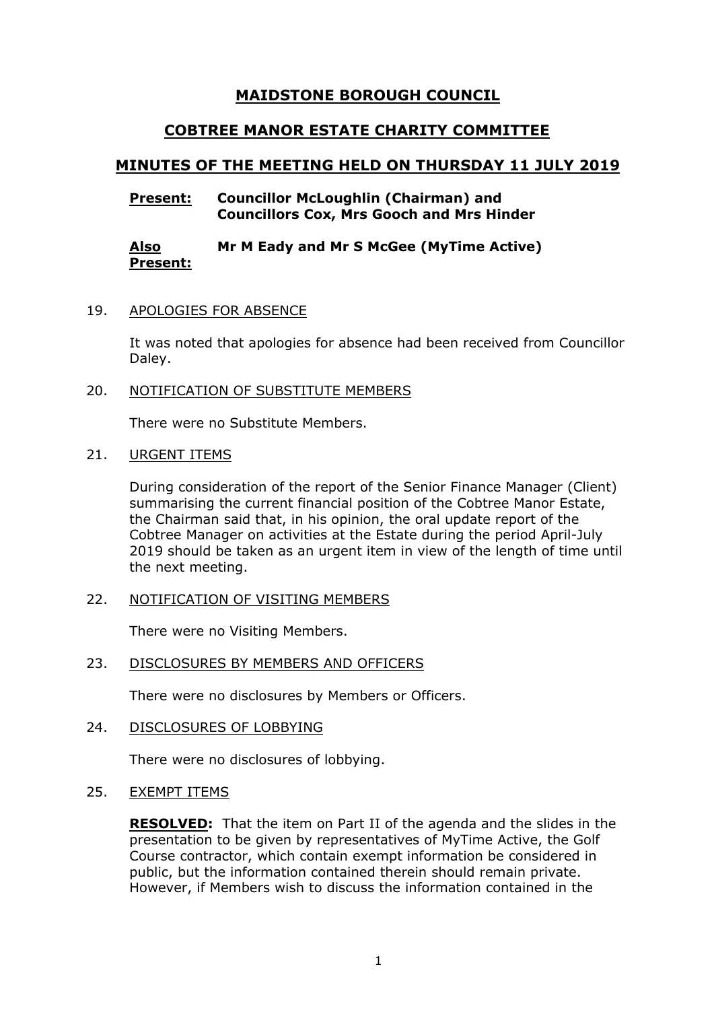# **MAIDSTONE BOROUGH COUNCIL**

# **COBTREE MANOR ESTATE CHARITY COMMITTEE**

# **MINUTES OF THE MEETING HELD ON THURSDAY 11 JULY 2019**

## **Present: Councillor McLoughlin (Chairman) and Councillors Cox, Mrs Gooch and Mrs Hinder**

#### **Also Present: Mr M Eady and Mr S McGee (MyTime Active)**

#### 19. APOLOGIES FOR ABSENCE

It was noted that apologies for absence had been received from Councillor Daley.

## 20. NOTIFICATION OF SUBSTITUTE MEMBERS

There were no Substitute Members.

#### 21. URGENT ITEMS

During consideration of the report of the Senior Finance Manager (Client) summarising the current financial position of the Cobtree Manor Estate, the Chairman said that, in his opinion, the oral update report of the Cobtree Manager on activities at the Estate during the period April-July 2019 should be taken as an urgent item in view of the length of time until the next meeting.

## 22. NOTIFICATION OF VISITING MEMBERS

There were no Visiting Members.

#### 23. DISCLOSURES BY MEMBERS AND OFFICERS

There were no disclosures by Members or Officers.

## 24. DISCLOSURES OF LOBBYING

There were no disclosures of lobbying.

#### 25. EXEMPT ITEMS

**RESOLVED:** That the item on Part II of the agenda and the slides in the presentation to be given by representatives of MyTime Active, the Golf Course contractor, which contain exempt information be considered in public, but the information contained therein should remain private. However, if Members wish to discuss the information contained in the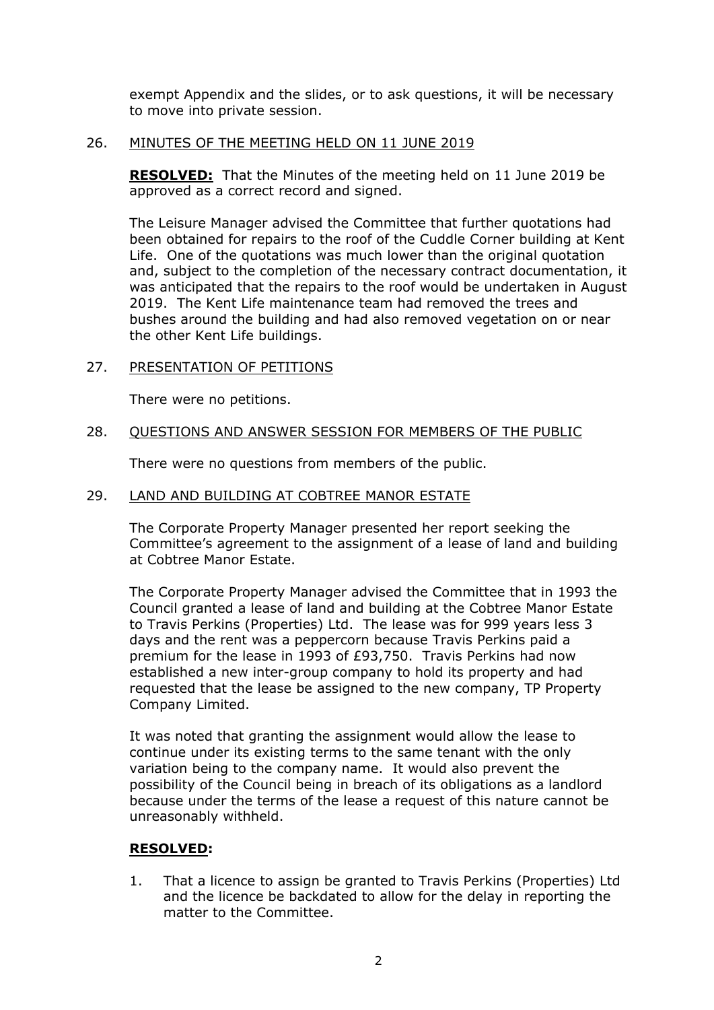exempt Appendix and the slides, or to ask questions, it will be necessary to move into private session.

#### 26. MINUTES OF THE MEETING HELD ON 11 JUNE 2019

**RESOLVED:** That the Minutes of the meeting held on 11 June 2019 be approved as a correct record and signed.

The Leisure Manager advised the Committee that further quotations had been obtained for repairs to the roof of the Cuddle Corner building at Kent Life. One of the quotations was much lower than the original quotation and, subject to the completion of the necessary contract documentation, it was anticipated that the repairs to the roof would be undertaken in August 2019. The Kent Life maintenance team had removed the trees and bushes around the building and had also removed vegetation on or near the other Kent Life buildings.

## 27. PRESENTATION OF PETITIONS

There were no petitions.

## 28. QUESTIONS AND ANSWER SESSION FOR MEMBERS OF THE PUBLIC

There were no questions from members of the public.

# 29. LAND AND BUILDING AT COBTREE MANOR ESTATE

The Corporate Property Manager presented her report seeking the Committee's agreement to the assignment of a lease of land and building at Cobtree Manor Estate.

The Corporate Property Manager advised the Committee that in 1993 the Council granted a lease of land and building at the Cobtree Manor Estate to Travis Perkins (Properties) Ltd. The lease was for 999 years less 3 days and the rent was a peppercorn because Travis Perkins paid a premium for the lease in 1993 of £93,750. Travis Perkins had now established a new inter-group company to hold its property and had requested that the lease be assigned to the new company, TP Property Company Limited.

It was noted that granting the assignment would allow the lease to continue under its existing terms to the same tenant with the only variation being to the company name. It would also prevent the possibility of the Council being in breach of its obligations as a landlord because under the terms of the lease a request of this nature cannot be unreasonably withheld.

## **RESOLVED:**

1. That a licence to assign be granted to Travis Perkins (Properties) Ltd and the licence be backdated to allow for the delay in reporting the matter to the Committee.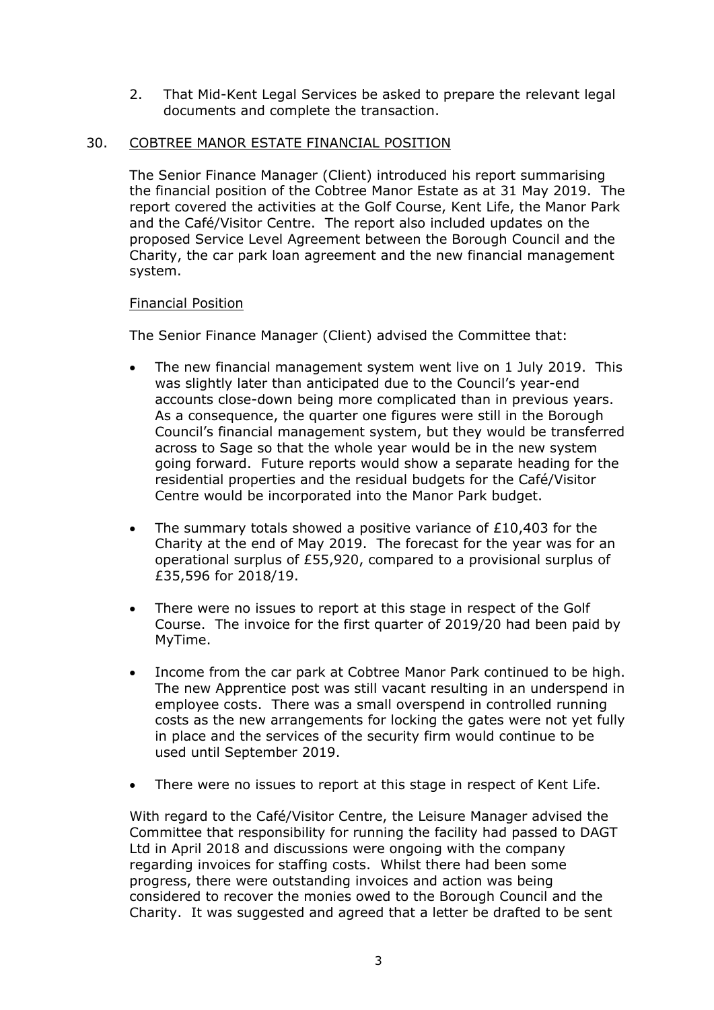2. That Mid-Kent Legal Services be asked to prepare the relevant legal documents and complete the transaction.

## 30. COBTREE MANOR ESTATE FINANCIAL POSITION

The Senior Finance Manager (Client) introduced his report summarising the financial position of the Cobtree Manor Estate as at 31 May 2019. The report covered the activities at the Golf Course, Kent Life, the Manor Park and the Café/Visitor Centre. The report also included updates on the proposed Service Level Agreement between the Borough Council and the Charity, the car park loan agreement and the new financial management system.

#### Financial Position

The Senior Finance Manager (Client) advised the Committee that:

- The new financial management system went live on 1 July 2019. This was slightly later than anticipated due to the Council's year-end accounts close-down being more complicated than in previous years. As a consequence, the quarter one figures were still in the Borough Council's financial management system, but they would be transferred across to Sage so that the whole year would be in the new system going forward. Future reports would show a separate heading for the residential properties and the residual budgets for the Café/Visitor Centre would be incorporated into the Manor Park budget.
- The summary totals showed a positive variance of £10,403 for the Charity at the end of May 2019. The forecast for the year was for an operational surplus of £55,920, compared to a provisional surplus of £35,596 for 2018/19.
- There were no issues to report at this stage in respect of the Golf Course. The invoice for the first quarter of 2019/20 had been paid by MyTime.
- Income from the car park at Cobtree Manor Park continued to be high. The new Apprentice post was still vacant resulting in an underspend in employee costs. There was a small overspend in controlled running costs as the new arrangements for locking the gates were not yet fully in place and the services of the security firm would continue to be used until September 2019.
- There were no issues to report at this stage in respect of Kent Life.

With regard to the Café/Visitor Centre, the Leisure Manager advised the Committee that responsibility for running the facility had passed to DAGT Ltd in April 2018 and discussions were ongoing with the company regarding invoices for staffing costs. Whilst there had been some progress, there were outstanding invoices and action was being considered to recover the monies owed to the Borough Council and the Charity. It was suggested and agreed that a letter be drafted to be sent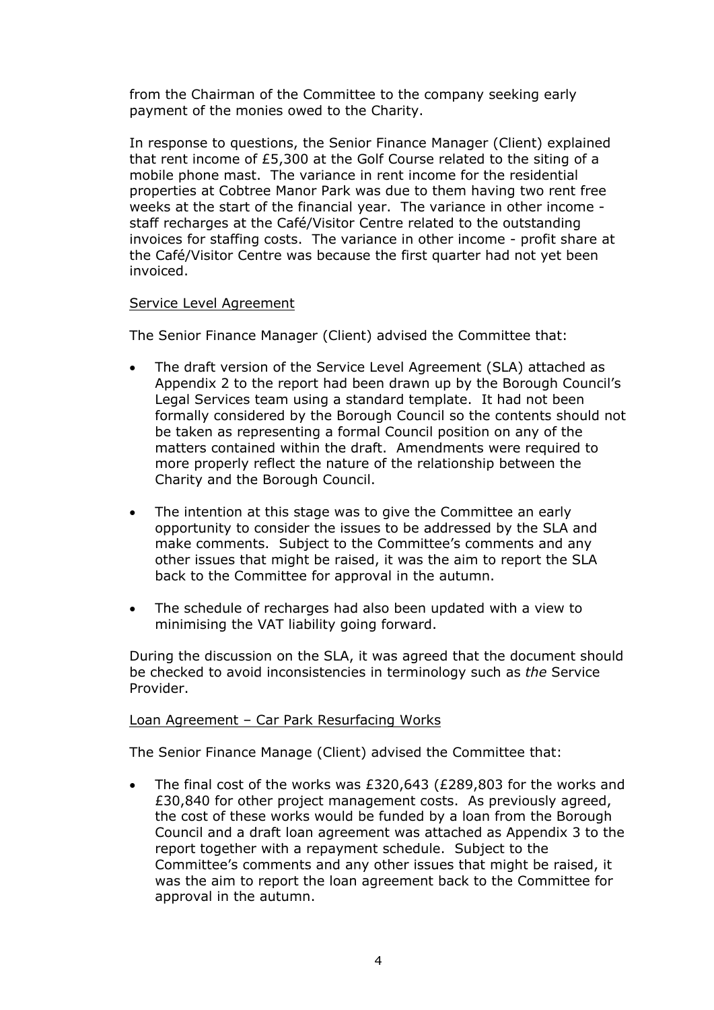from the Chairman of the Committee to the company seeking early payment of the monies owed to the Charity.

In response to questions, the Senior Finance Manager (Client) explained that rent income of £5,300 at the Golf Course related to the siting of a mobile phone mast. The variance in rent income for the residential properties at Cobtree Manor Park was due to them having two rent free weeks at the start of the financial year. The variance in other income staff recharges at the Café/Visitor Centre related to the outstanding invoices for staffing costs. The variance in other income - profit share at the Café/Visitor Centre was because the first quarter had not yet been invoiced.

#### Service Level Agreement

The Senior Finance Manager (Client) advised the Committee that:

- The draft version of the Service Level Agreement (SLA) attached as Appendix 2 to the report had been drawn up by the Borough Council's Legal Services team using a standard template. It had not been formally considered by the Borough Council so the contents should not be taken as representing a formal Council position on any of the matters contained within the draft. Amendments were required to more properly reflect the nature of the relationship between the Charity and the Borough Council.
- The intention at this stage was to give the Committee an early opportunity to consider the issues to be addressed by the SLA and make comments. Subject to the Committee's comments and any other issues that might be raised, it was the aim to report the SLA back to the Committee for approval in the autumn.
- The schedule of recharges had also been updated with a view to minimising the VAT liability going forward.

During the discussion on the SLA, it was agreed that the document should be checked to avoid inconsistencies in terminology such as *the* Service Provider.

#### Loan Agreement - Car Park Resurfacing Works

The Senior Finance Manage (Client) advised the Committee that:

 The final cost of the works was £320,643 (£289,803 for the works and £30,840 for other project management costs. As previously agreed, the cost of these works would be funded by a loan from the Borough Council and a draft loan agreement was attached as Appendix 3 to the report together with a repayment schedule. Subject to the Committee's comments and any other issues that might be raised, it was the aim to report the loan agreement back to the Committee for approval in the autumn.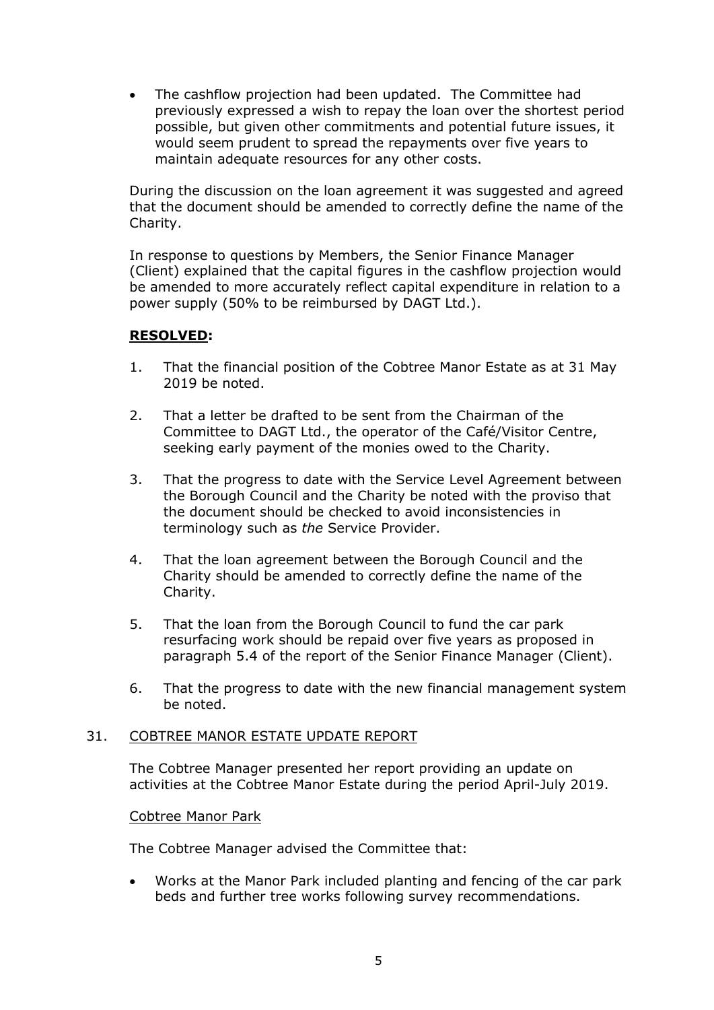The cashflow projection had been updated. The Committee had previously expressed a wish to repay the loan over the shortest period possible, but given other commitments and potential future issues, it would seem prudent to spread the repayments over five years to maintain adequate resources for any other costs.

During the discussion on the loan agreement it was suggested and agreed that the document should be amended to correctly define the name of the Charity.

In response to questions by Members, the Senior Finance Manager (Client) explained that the capital figures in the cashflow projection would be amended to more accurately reflect capital expenditure in relation to a power supply (50% to be reimbursed by DAGT Ltd.).

## **RESOLVED:**

- 1. That the financial position of the Cobtree Manor Estate as at 31 May 2019 be noted.
- 2. That a letter be drafted to be sent from the Chairman of the Committee to DAGT Ltd., the operator of the Café/Visitor Centre, seeking early payment of the monies owed to the Charity.
- 3. That the progress to date with the Service Level Agreement between the Borough Council and the Charity be noted with the proviso that the document should be checked to avoid inconsistencies in terminology such as *the* Service Provider.
- 4. That the loan agreement between the Borough Council and the Charity should be amended to correctly define the name of the Charity.
- 5. That the loan from the Borough Council to fund the car park resurfacing work should be repaid over five years as proposed in paragraph 5.4 of the report of the Senior Finance Manager (Client).
- 6. That the progress to date with the new financial management system be noted.

#### 31. COBTREE MANOR ESTATE UPDATE REPORT

The Cobtree Manager presented her report providing an update on activities at the Cobtree Manor Estate during the period April-July 2019.

#### Cobtree Manor Park

The Cobtree Manager advised the Committee that:

 Works at the Manor Park included planting and fencing of the car park beds and further tree works following survey recommendations.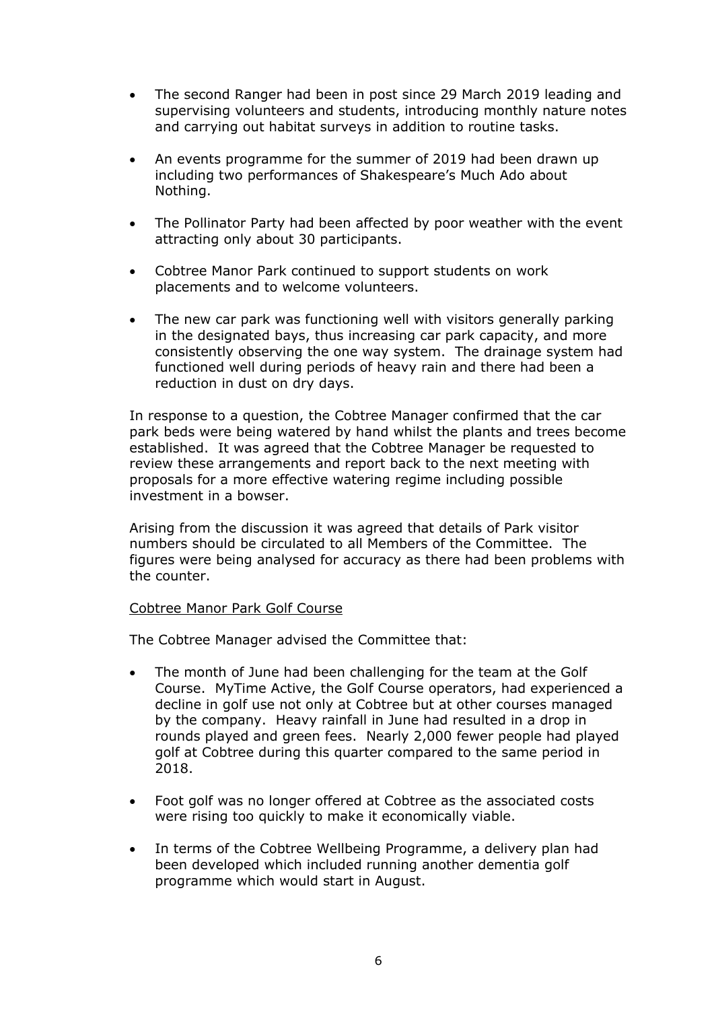- The second Ranger had been in post since 29 March 2019 leading and supervising volunteers and students, introducing monthly nature notes and carrying out habitat surveys in addition to routine tasks.
- An events programme for the summer of 2019 had been drawn up including two performances of Shakespeare's Much Ado about Nothing.
- The Pollinator Party had been affected by poor weather with the event attracting only about 30 participants.
- Cobtree Manor Park continued to support students on work placements and to welcome volunteers.
- The new car park was functioning well with visitors generally parking in the designated bays, thus increasing car park capacity, and more consistently observing the one way system. The drainage system had functioned well during periods of heavy rain and there had been a reduction in dust on dry days.

In response to a question, the Cobtree Manager confirmed that the car park beds were being watered by hand whilst the plants and trees become established. It was agreed that the Cobtree Manager be requested to review these arrangements and report back to the next meeting with proposals for a more effective watering regime including possible investment in a bowser.

Arising from the discussion it was agreed that details of Park visitor numbers should be circulated to all Members of the Committee. The figures were being analysed for accuracy as there had been problems with the counter.

## Cobtree Manor Park Golf Course

The Cobtree Manager advised the Committee that:

- The month of June had been challenging for the team at the Golf Course. MyTime Active, the Golf Course operators, had experienced a decline in golf use not only at Cobtree but at other courses managed by the company. Heavy rainfall in June had resulted in a drop in rounds played and green fees. Nearly 2,000 fewer people had played golf at Cobtree during this quarter compared to the same period in 2018.
- Foot golf was no longer offered at Cobtree as the associated costs were rising too quickly to make it economically viable.
- In terms of the Cobtree Wellbeing Programme, a delivery plan had been developed which included running another dementia golf programme which would start in August.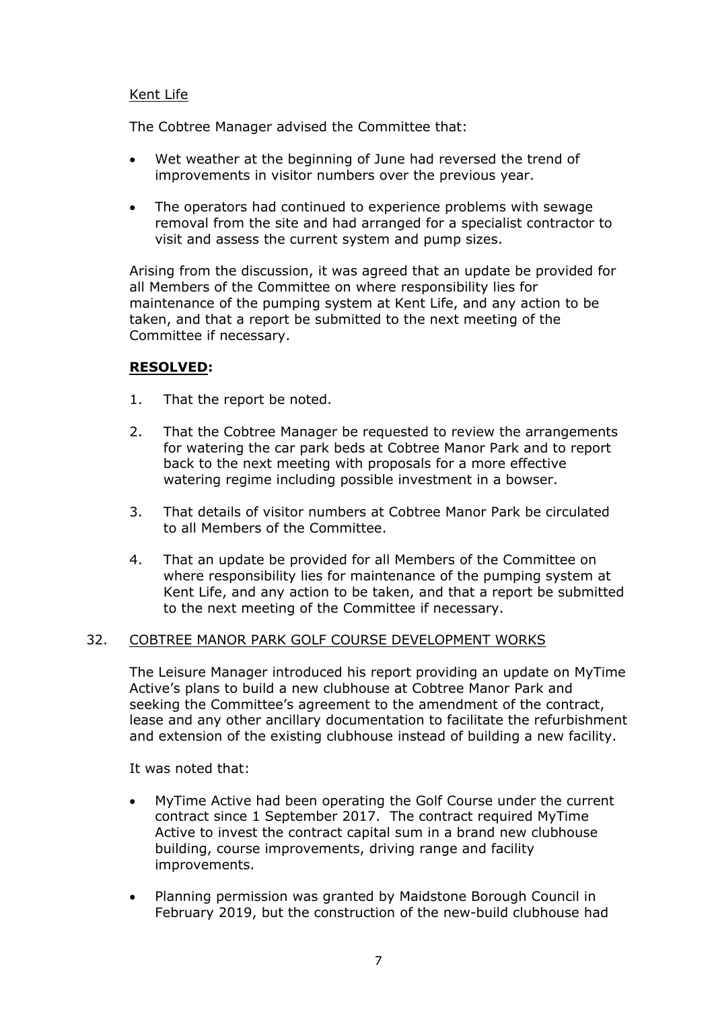## Kent Life

The Cobtree Manager advised the Committee that:

- Wet weather at the beginning of June had reversed the trend of improvements in visitor numbers over the previous year.
- The operators had continued to experience problems with sewage removal from the site and had arranged for a specialist contractor to visit and assess the current system and pump sizes.

Arising from the discussion, it was agreed that an update be provided for all Members of the Committee on where responsibility lies for maintenance of the pumping system at Kent Life, and any action to be taken, and that a report be submitted to the next meeting of the Committee if necessary.

## **RESOLVED:**

- 1. That the report be noted.
- 2. That the Cobtree Manager be requested to review the arrangements for watering the car park beds at Cobtree Manor Park and to report back to the next meeting with proposals for a more effective watering regime including possible investment in a bowser.
- 3. That details of visitor numbers at Cobtree Manor Park be circulated to all Members of the Committee.
- 4. That an update be provided for all Members of the Committee on where responsibility lies for maintenance of the pumping system at Kent Life, and any action to be taken, and that a report be submitted to the next meeting of the Committee if necessary.

#### 32. COBTREE MANOR PARK GOLF COURSE DEVELOPMENT WORKS

The Leisure Manager introduced his report providing an update on MyTime Active's plans to build a new clubhouse at Cobtree Manor Park and seeking the Committee's agreement to the amendment of the contract, lease and any other ancillary documentation to facilitate the refurbishment and extension of the existing clubhouse instead of building a new facility.

It was noted that:

- MyTime Active had been operating the Golf Course under the current contract since 1 September 2017. The contract required MyTime Active to invest the contract capital sum in a brand new clubhouse building, course improvements, driving range and facility improvements.
- Planning permission was granted by Maidstone Borough Council in February 2019, but the construction of the new-build clubhouse had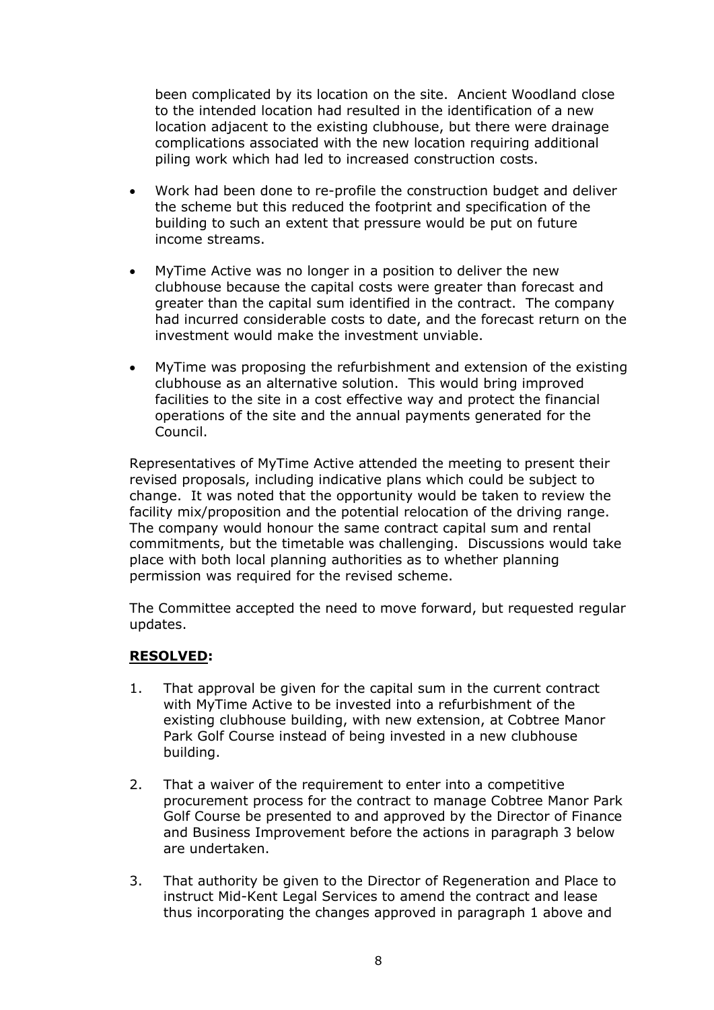been complicated by its location on the site. Ancient Woodland close to the intended location had resulted in the identification of a new location adjacent to the existing clubhouse, but there were drainage complications associated with the new location requiring additional piling work which had led to increased construction costs.

- Work had been done to re-profile the construction budget and deliver the scheme but this reduced the footprint and specification of the building to such an extent that pressure would be put on future income streams.
- MyTime Active was no longer in a position to deliver the new clubhouse because the capital costs were greater than forecast and greater than the capital sum identified in the contract. The company had incurred considerable costs to date, and the forecast return on the investment would make the investment unviable.
- MyTime was proposing the refurbishment and extension of the existing clubhouse as an alternative solution. This would bring improved facilities to the site in a cost effective way and protect the financial operations of the site and the annual payments generated for the Council.

Representatives of MyTime Active attended the meeting to present their revised proposals, including indicative plans which could be subject to change. It was noted that the opportunity would be taken to review the facility mix/proposition and the potential relocation of the driving range. The company would honour the same contract capital sum and rental commitments, but the timetable was challenging. Discussions would take place with both local planning authorities as to whether planning permission was required for the revised scheme.

The Committee accepted the need to move forward, but requested regular updates.

## **RESOLVED:**

- 1. That approval be given for the capital sum in the current contract with MyTime Active to be invested into a refurbishment of the existing clubhouse building, with new extension, at Cobtree Manor Park Golf Course instead of being invested in a new clubhouse building.
- 2. That a waiver of the requirement to enter into a competitive procurement process for the contract to manage Cobtree Manor Park Golf Course be presented to and approved by the Director of Finance and Business Improvement before the actions in paragraph 3 below are undertaken.
- 3. That authority be given to the Director of Regeneration and Place to instruct Mid-Kent Legal Services to amend the contract and lease thus incorporating the changes approved in paragraph 1 above and